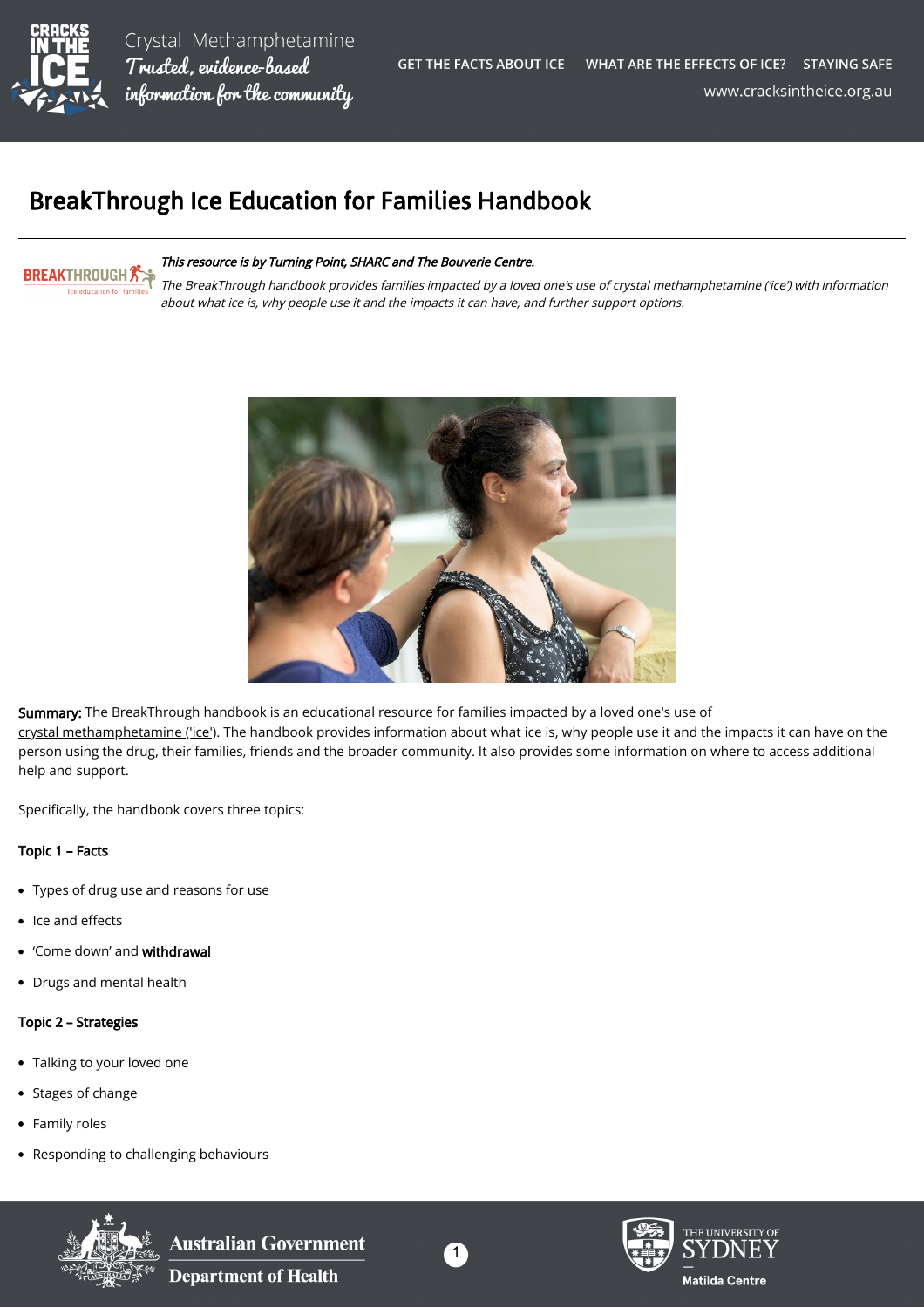

Crystal Methamphetamine Trusted, evidence-based information for the community

# BreakThrough Ice Education for Families Handbook



#### This resource is by Turning Point, SHARC and The Bouverie Centre.

The BreakThrough handbook provides families impacted by a loved one's use of crystal methamphetamine ('ice') with information about what ice is, why people use it and the impacts it can have, and further support options.



Summary: The BreakThrough handbook is an educational resource for families impacted by a loved one's use of [crystal methamphetamine \('ice'\).](https://cracksintheice.org.au/what-is-ice) The handbook provides information about what ice is, why people use it and the impacts it can have on the person using the drug, their families, friends and the broader community. It also provides some information on where to access additional help and support.

Specifically, the handbook covers three topics:

#### Topic 1 – Facts

- Types of drug use and reasons for use
- Ice and effects
- 'Come down' and withdrawal
- Drugs and mental health

## Topic 2 – Strategies

- Talking to your loved one
- Stages of change
- Family roles
- Responding to challenging behaviours



**Australian Government Department of Health**